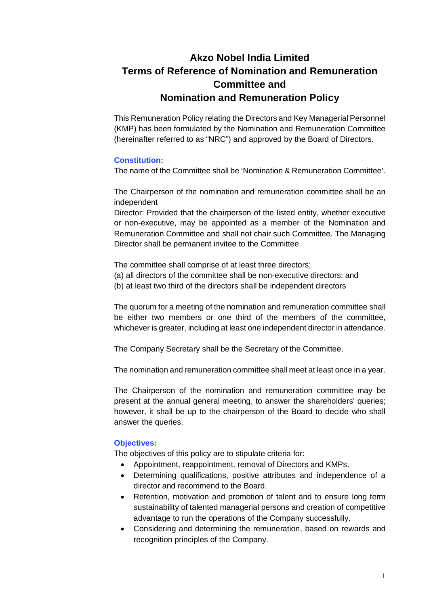# **Akzo Nobel India Limited Terms of Reference of Nomination and Remuneration Committee and Nomination and Remuneration Policy**

This Remuneration Policy relating the Directors and Key Managerial Personnel (KMP) has been formulated by the Nomination and Remuneration Committee (hereinafter referred to as "NRC") and approved by the Board of Directors.

# **Constitution:**

The name of the Committee shall be 'Nomination & Remuneration Committee'.

The Chairperson of the nomination and remuneration committee shall be an independent

Director: Provided that the chairperson of the listed entity, whether executive or non-executive, may be appointed as a member of the Nomination and Remuneration Committee and shall not chair such Committee. The Managing Director shall be permanent invitee to the Committee.

The committee shall comprise of at least three directors;

- (a) all directors of the committee shall be non-executive directors; and
- (b) at least two third of the directors shall be independent directors

The quorum for a meeting of the nomination and remuneration committee shall be either two members or one third of the members of the committee, whichever is greater, including at least one independent director in attendance.

The Company Secretary shall be the Secretary of the Committee.

The nomination and remuneration committee shall meet at least once in a year.

The Chairperson of the nomination and remuneration committee may be present at the annual general meeting, to answer the shareholders' queries; however, it shall be up to the chairperson of the Board to decide who shall answer the queries.

## **Objectives:**

The objectives of this policy are to stipulate criteria for:

- Appointment, reappointment, removal of Directors and KMPs.
- Determining qualifications, positive attributes and independence of a director and recommend to the Board.
- Retention, motivation and promotion of talent and to ensure long term sustainability of talented managerial persons and creation of competitive advantage to run the operations of the Company successfully.
- Considering and determining the remuneration, based on rewards and recognition principles of the Company.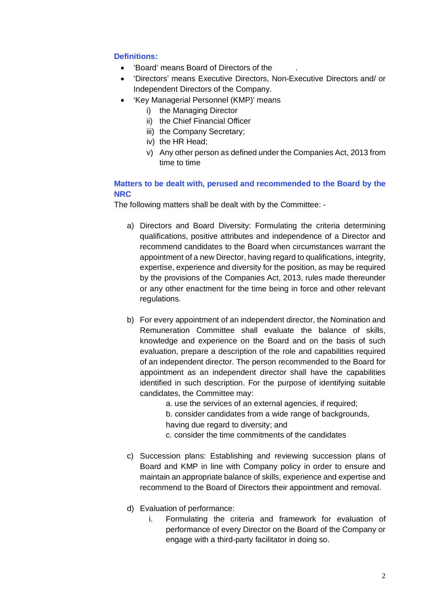# **Definitions:**

- 'Board' means Board of Directors of the .
- 'Directors' means Executive Directors, Non-Executive Directors and/ or Independent Directors of the Company.
- 'Key Managerial Personnel (KMP)' means
	- i) the Managing Director
	- ii) the Chief Financial Officer
	- iii) the Company Secretary;
	- iv) the HR Head;
	- v) Any other person as defined under the Companies Act, 2013 from time to time

# **Matters to be dealt with, perused and recommended to the Board by the NRC**

The following matters shall be dealt with by the Committee: -

- a) Directors and Board Diversity: Formulating the criteria determining qualifications, positive attributes and independence of a Director and recommend candidates to the Board when circumstances warrant the appointment of a new Director, having regard to qualifications, integrity, expertise, experience and diversity for the position, as may be required by the provisions of the Companies Act, 2013, rules made thereunder or any other enactment for the time being in force and other relevant regulations.
- b) For every appointment of an independent director, the Nomination and Remuneration Committee shall evaluate the balance of skills, knowledge and experience on the Board and on the basis of such evaluation, prepare a description of the role and capabilities required of an independent director. The person recommended to the Board for appointment as an independent director shall have the capabilities identified in such description. For the purpose of identifying suitable candidates, the Committee may:
	- a. use the services of an external agencies, if required;
	- b. consider candidates from a wide range of backgrounds,
	- having due regard to diversity; and
	- c. consider the time commitments of the candidates
- c) Succession plans: Establishing and reviewing succession plans of Board and KMP in line with Company policy in order to ensure and maintain an appropriate balance of skills, experience and expertise and recommend to the Board of Directors their appointment and removal.
- d) Evaluation of performance:
	- i. Formulating the criteria and framework for evaluation of performance of every Director on the Board of the Company or engage with a third-party facilitator in doing so.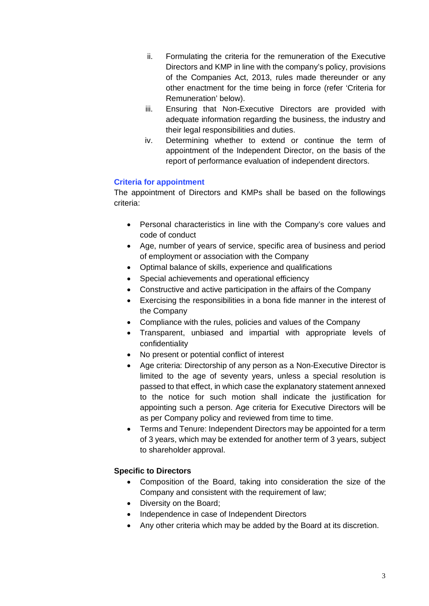- ii. Formulating the criteria for the remuneration of the Executive Directors and KMP in line with the company's policy, provisions of the Companies Act, 2013, rules made thereunder or any other enactment for the time being in force (refer 'Criteria for Remuneration' below).
- iii. Ensuring that Non-Executive Directors are provided with adequate information regarding the business, the industry and their legal responsibilities and duties.
- iv. Determining whether to extend or continue the term of appointment of the Independent Director, on the basis of the report of performance evaluation of independent directors.

# **Criteria for appointment**

The appointment of Directors and KMPs shall be based on the followings criteria:

- Personal characteristics in line with the Company's core values and code of conduct
- Age, number of years of service, specific area of business and period of employment or association with the Company
- Optimal balance of skills, experience and qualifications
- Special achievements and operational efficiency
- Constructive and active participation in the affairs of the Company
- Exercising the responsibilities in a bona fide manner in the interest of the Company
- Compliance with the rules, policies and values of the Company
- Transparent, unbiased and impartial with appropriate levels of confidentiality
- No present or potential conflict of interest
- Age criteria: Directorship of any person as a Non-Executive Director is limited to the age of seventy years, unless a special resolution is passed to that effect, in which case the explanatory statement annexed to the notice for such motion shall indicate the justification for appointing such a person. Age criteria for Executive Directors will be as per Company policy and reviewed from time to time.
- Terms and Tenure: Independent Directors may be appointed for a term of 3 years, which may be extended for another term of 3 years, subject to shareholder approval.

# **Specific to Directors**

- Composition of the Board, taking into consideration the size of the Company and consistent with the requirement of law;
- Diversity on the Board;
- Independence in case of Independent Directors
- Any other criteria which may be added by the Board at its discretion.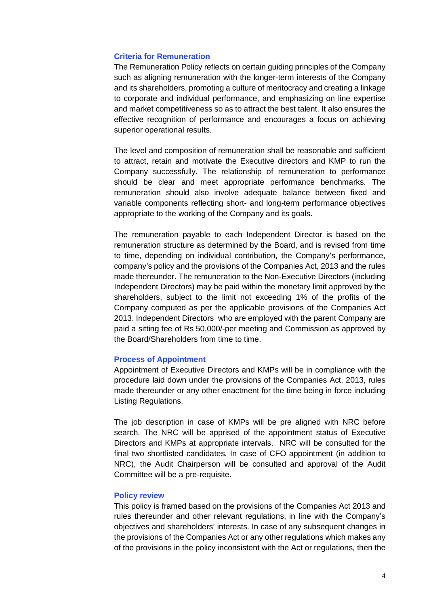### **Criteria for Remuneration**

The Remuneration Policy reflects on certain guiding principles of the Company such as aligning remuneration with the longer-term interests of the Company and its shareholders, promoting a culture of meritocracy and creating a linkage to corporate and individual performance, and emphasizing on line expertise and market competitiveness so as to attract the best talent. It also ensures the effective recognition of performance and encourages a focus on achieving superior operational results.

The level and composition of remuneration shall be reasonable and sufficient to attract, retain and motivate the Executive directors and KMP to run the Company successfully. The relationship of remuneration to performance should be clear and meet appropriate performance benchmarks. The remuneration should also involve adequate balance between fixed and variable components reflecting short- and long-term performance objectives appropriate to the working of the Company and its goals.

The remuneration payable to each Independent Director is based on the remuneration structure as determined by the Board, and is revised from time to time, depending on individual contribution, the Company's performance, company's policy and the provisions of the Companies Act, 2013 and the rules made thereunder. The remuneration to the Non-Executive Directors (including Independent Directors) may be paid within the monetary limit approved by the shareholders, subject to the limit not exceeding 1% of the profits of the Company computed as per the applicable provisions of the Companies Act 2013. Independent Directors who are employed with the parent Company are paid a sitting fee of Rs 50,000/-per meeting and Commission as approved by the Board/Shareholders from time to time.

#### **Process of Appointment**

Appointment of Executive Directors and KMPs will be in compliance with the procedure laid down under the provisions of the Companies Act, 2013, rules made thereunder or any other enactment for the time being in force including Listing Regulations.

The job description in case of KMPs will be pre aligned with NRC before search. The NRC will be apprised of the appointment status of Executive Directors and KMPs at appropriate intervals. NRC will be consulted for the final two shortlisted candidates. In case of CFO appointment (in addition to NRC), the Audit Chairperson will be consulted and approval of the Audit Committee will be a pre-requisite.

### **Policy review**

This policy is framed based on the provisions of the Companies Act 2013 and rules thereunder and other relevant regulations, in line with the Company's objectives and shareholders' interests. In case of any subsequent changes in the provisions of the Companies Act or any other regulations which makes any of the provisions in the policy inconsistent with the Act or regulations, then the